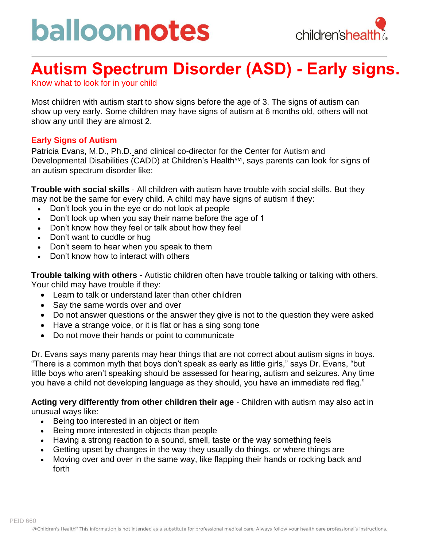# balloonnotes



### **Autism Spectrum Disorder (ASD) - Early signs.**

Know what to look for in your child

Most children with autism start to show signs before the age of 3. The signs of autism can show up very early. Some children may have signs of autism at 6 months old, others will not show any until they are almost 2.

#### **Early Signs of Autism**

Patricia Evans, M.D., Ph.D. and clinical co-director for the Center for Autism and Developmental Disabilities (CADD) at Children's Health<sup>SM</sup>, says parents can look for signs of an autism spectrum disorder like:

**Trouble with social skills** - All children with autism have trouble with social skills. But they may not be the same for every child. A child may have signs of autism if they:

- Don't look you in the eye or do not look at people
- Don't look up when you say their name before the age of 1
- Don't know how they feel or talk about how they feel
- Don't want to cuddle or hug
- Don't seem to hear when you speak to them
- Don't know how to interact with others

**Trouble talking with others** - Autistic children often have trouble talking or talking with others. Your child may have trouble if they:

- Learn to talk or understand later than other children
- Say the same words over and over
- Do not answer questions or the answer they give is not to the question they were asked
- Have a strange voice, or it is flat or has a sing song tone
- Do not move their hands or point to communicate

Dr. Evans says many parents may hear things that are not correct about autism signs in boys. "There is a common myth that boys don't speak as early as little girls," says Dr. Evans, "but little boys who aren't speaking should be assessed for hearing, autism and seizures. Any time you have a child not developing language as they should, you have an immediate red flag."

**Acting very differently from other children their age** - Children with autism may also act in unusual ways like:

- Being too interested in an object or item
- Being more interested in objects than people
- Having a strong reaction to a sound, smell, taste or the way something feels
- Getting upset by changes in the way they usually do things, or where things are
- Moving over and over in the same way, like flapping their hands or rocking back and forth